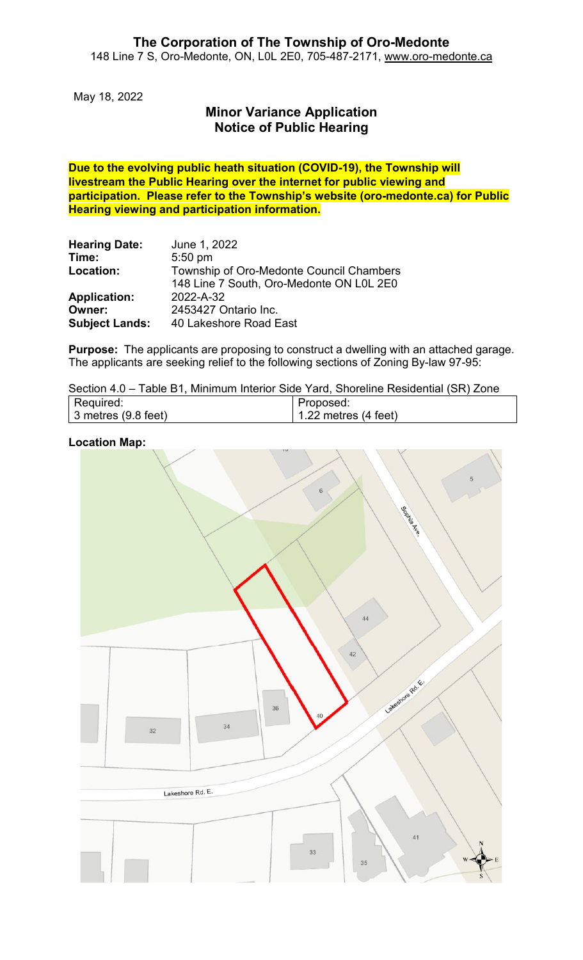May 18, 2022

## **Minor Variance Application Notice of Public Hearing**

**Due to the evolving public heath situation (COVID-19), the Township will livestream the Public Hearing over the internet for public viewing and participation. Please refer to the Township's website (oro-medonte.ca) for Public Hearing viewing and participation information.**

| <b>Hearing Date:</b>  | June 1, 2022                             |  |  |  |
|-----------------------|------------------------------------------|--|--|--|
| Time:                 | $5:50$ pm                                |  |  |  |
| Location:             | Township of Oro-Medonte Council Chambers |  |  |  |
|                       | 148 Line 7 South, Oro-Medonte ON L0L 2E0 |  |  |  |
| <b>Application:</b>   | 2022-A-32                                |  |  |  |
| Owner:                | 2453427 Ontario Inc.                     |  |  |  |
| <b>Subject Lands:</b> | 40 Lakeshore Road East                   |  |  |  |

**Purpose:** The applicants are proposing to construct a dwelling with an attached garage. The applicants are seeking relief to the following sections of Zoning By-law 97-95:

| Section 4.0 – Table B1, Minimum Interior Side Yard, Shoreline Residential (SR) Zone |  |  |  |  |  |  |  |  |  |
|-------------------------------------------------------------------------------------|--|--|--|--|--|--|--|--|--|
|-------------------------------------------------------------------------------------|--|--|--|--|--|--|--|--|--|

| Required:                   | Proposed:                      |
|-----------------------------|--------------------------------|
| $\vert$ 3 metres (9.8 feet) | 1.22 metres $(4 \text{ feet})$ |

#### **Location Map:**

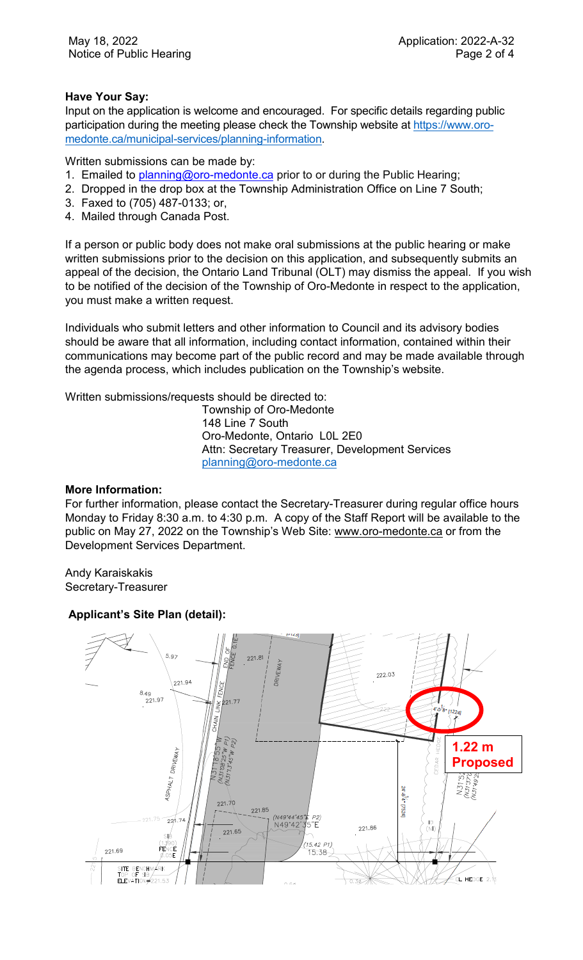#### **Have Your Say:**

Input on the application is welcome and encouraged. For specific details regarding public participation during the meeting please check the Township website at [https://www.oro](https://www.oro-medonte.ca/municipal-services/planning-information)[medonte.ca/municipal-services/planning-information.](https://www.oro-medonte.ca/municipal-services/planning-information)

Written submissions can be made by:

- 1. Emailed to [planning@oro-medonte.ca](mailto:planning@oro-medonte.ca) prior to or during the Public Hearing;
- 2. Dropped in the drop box at the Township Administration Office on Line 7 South;
- 3. Faxed to (705) 487-0133; or,
- 4. Mailed through Canada Post.

If a person or public body does not make oral submissions at the public hearing or make written submissions prior to the decision on this application, and subsequently submits an appeal of the decision, the Ontario Land Tribunal (OLT) may dismiss the appeal. If you wish to be notified of the decision of the Township of Oro-Medonte in respect to the application, you must make a written request.

Individuals who submit letters and other information to Council and its advisory bodies should be aware that all information, including contact information, contained within their communications may become part of the public record and may be made available through the agenda process, which includes publication on the Township's website.

Written submissions/requests should be directed to:

Township of Oro-Medonte 148 Line 7 South Oro-Medonte, Ontario L0L 2E0 Attn: Secretary Treasurer, Development Services [planning@oro-medonte.ca](mailto:planning@oro-medonte.ca)

#### **More Information:**

For further information, please contact the Secretary-Treasurer during regular office hours Monday to Friday 8:30 a.m. to 4:30 p.m. A copy of the Staff Report will be available to the public on May 27, 2022 on the Township's Web Site: [www.oro-medonte.ca](http://www.oro-medonte.ca/) or from the Development Services Department.

Andy Karaiskakis Secretary-Treasurer

#### **Applicant's Site Plan (detail):**

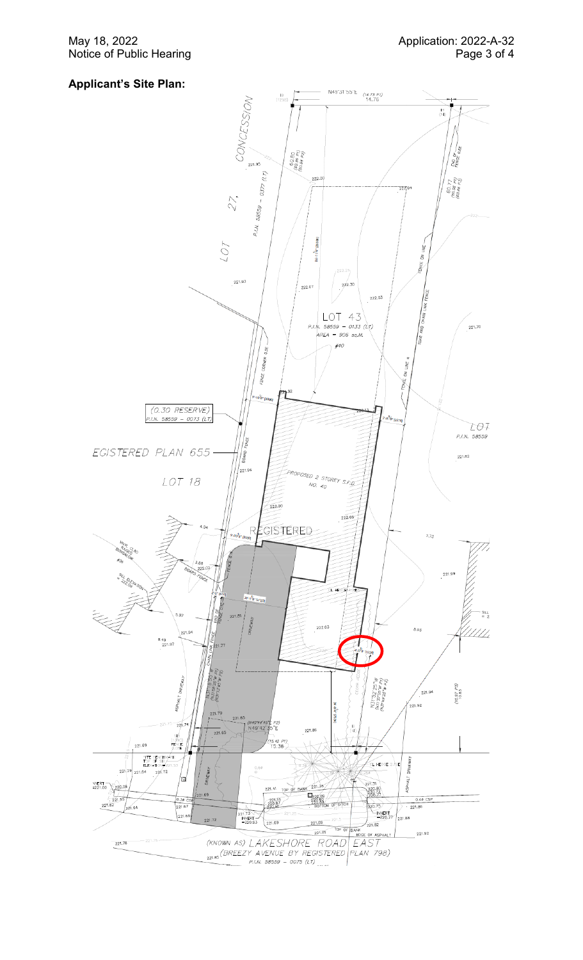May 18, 2022 Notice of Public Hearing

### **Applicant 's Site Plan:**